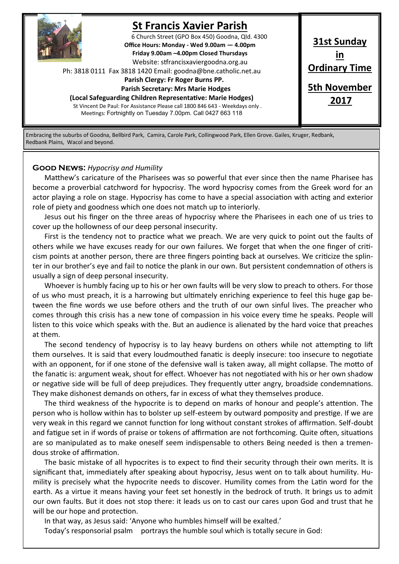

# **St Francis Xavier Parish**

6 Church Street (GPO Box 450) Goodna, Qld. 4300 **Office Hours: Monday - Wed 9.00am — 4.00pm Friday 9.00am –4.00pm Closed Thursdays**  Website: stfrancisxaviergoodna.org.au

Ph: 3818 0111 Fax 3818 1420 Email: goodna@bne.catholic.net.au

 **Parish Clergy: Fr Roger Burns PP.** 

 **Parish Secretary: Mrs Marie Hodges (Local Safeguarding Children Representative: Marie Hodges)**

St Vincent De Paul: For Assistance Please call 1800 846 643 - Weekdays only . Meetings: Fortnightly on Tuesday 7.00pm. Call 0427 663 118

**31st Sunday in Ordinary Time 5th November 2017**

Embracing the suburbs of Goodna, Bellbird Park, Camira, Carole Park, Collingwood Park, Ellen Grove. Gailes, Kruger, Redbank, Redbank Plains, Wacol and beyond.

#### **Good News:** *Hypocrisy and Humility*

Matthew's caricature of the Pharisees was so powerful that ever since then the name Pharisee has become a proverbial catchword for hypocrisy. The word hypocrisy comes from the Greek word for an actor playing a role on stage. Hypocrisy has come to have a special association with acting and exterior role of piety and goodness which one does not match up to interiorly.

Jesus out his finger on the three areas of hypocrisy where the Pharisees in each one of us tries to cover up the hollowness of our deep personal insecurity.

First is the tendency not to practice what we preach. We are very quick to point out the faults of others while we have excuses ready for our own failures. We forget that when the one finger of criticism points at another person, there are three fingers pointing back at ourselves. We criticize the splinter in our brother's eye and fail to notice the plank in our own. But persistent condemnation of others is usually a sign of deep personal insecurity.

Whoever is humbly facing up to his or her own faults will be very slow to preach to others. For those of us who must preach, it is a harrowing but ultimately enriching experience to feel this huge gap between the fine words we use before others and the truth of our own sinful lives. The preacher who comes through this crisis has a new tone of compassion in his voice every time he speaks. People will listen to this voice which speaks with the. But an audience is alienated by the hard voice that preaches at them.

The second tendency of hypocrisy is to lay heavy burdens on others while not attempting to lift them ourselves. It is said that every loudmouthed fanatic is deeply insecure: too insecure to negotiate with an opponent, for if one stone of the defensive wall is taken away, all might collapse. The motto of the fanatic is: argument weak, shout for effect. Whoever has not negotiated with his or her own shadow or negative side will be full of deep prejudices. They frequently utter angry, broadside condemnations. They make dishonest demands on others, far in excess of what they themselves produce.

The third weakness of the hypocrite is to depend on marks of honour and people's attention. The person who is hollow within has to bolster up self-esteem by outward pomposity and prestige. If we are very weak in this regard we cannot function for long without constant strokes of affirmation. Self-doubt and fatigue set in if words of praise or tokens of affirmation are not forthcoming. Quite often, situations are so manipulated as to make oneself seem indispensable to others Being needed is then a tremendous stroke of affirmation.

The basic mistake of all hypocrites is to expect to find their security through their own merits. It is significant that, immediately after speaking about hypocrisy, Jesus went on to talk about humility. Humility is precisely what the hypocrite needs to discover. Humility comes from the Latin word for the earth. As a virtue it means having your feet set honestly in the bedrock of truth. It brings us to admit our own faults. But it does not stop there: it leads us on to cast our cares upon God and trust that he will be our hope and protection.

In that way, as Jesus said: 'Anyone who humbles himself will be exalted.'

Today's responsorial psalm portrays the humble soul which is totally secure in God: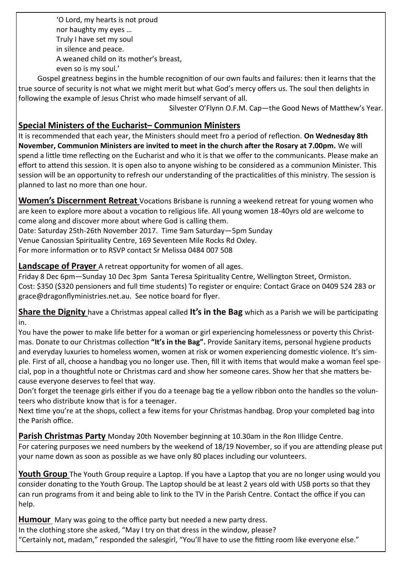'O Lord, my hearts is not proud nor haughty my eyes … Truly I have set my soul in silence and peace. A weaned child on its mother's breast, even so is my soul.'

Gospel greatness begins in the humble recognition of our own faults and failures: then it learns that the true source of security is not what we might merit but what God's mercy offers us. The soul then delights in following the example of Jesus Christ who made himself servant of all.

Silvester O'Flynn O.F.M. Cap—the Good News of Matthew's Year.

### **Special Ministers of the Eucharist– Communion Ministers**

It is recommended that each year, the Ministers should meet fro a period of reflection. **On Wednesday 8th November, Communion Ministers are invited to meet in the church after the Rosary at 7.00pm.** We will spend a little time reflecting on the Eucharist and who it is that we offer to the communicants. Please make an effort to attend this session. It is open also to anyone wishing to be considered as a communion Minister. This session will be an opportunity to refresh our understanding of the practicalities of this ministry. The session is planned to last no more than one hour.

**Women's Discernment Retreat** Vocations Brisbane is running a weekend retreat for young women who are keen to explore more about a vocation to religious life. All young women 18-40yrs old are welcome to come along and discover more about where God is calling them.

Date: Saturday 25th-26th November 2017. Time 9am Saturday—5pm Sunday

Venue Canossian Spirituality Centre, 169 Seventeen Mile Rocks Rd Oxley.

For more information or to RSVP contact Sr Melissa 0484 007 508

### **Landscape of Prayer** A retreat opportunity for women of all ages.

Friday 8 Dec 6pm—Sunday 10 Dec 3pm Santa Teresa Spirituality Centre, Wellington Street, Ormiston. Cost: \$350 (\$320 pensioners and full time students) To register or enquire: Contact Grace on 0409 524 283 or grace@dragonflyministries.net.au. See notice board for flyer.

**Share the Dignity** have a Christmas appeal called **It's in the Bag** which as a Parish we will be participating in.

You have the power to make life better for a woman or girl experiencing homelessness or poverty this Christmas. Donate to our Christmas collection **"It's in the Bag".** Provide Sanitary items, personal hygiene products and everyday luxuries to homeless women, women at risk or women experiencing domestic violence. It's simple. First of all, choose a handbag you no longer use. Then, fill it with items that would make a woman feel special, pop in a thoughtful note or Christmas card and show her someone cares. Show her that she matters because everyone deserves to feel that way.

Don't forget the teenage girls either if you do a teenage bag tie a yellow ribbon onto the handles so the volunteers who distribute know that is for a teenager.

Next time you're at the shops, collect a few items for your Christmas handbag. Drop your completed bag into the Parish office.

#### **Parish Christmas Party** Monday 20th November beginning at 10.30am in the Ron Illidge Centre.

For catering purposes we need numbers by the weekend of 18/19 November, so if you are attending please put your name down as soon as possible as we have only 80 places including our volunteers.

**Youth Group** The Youth Group require a Laptop. If you have a Laptop that you are no longer using would you consider donating to the Youth Group. The Laptop should be at least 2 years old with USB ports so that they can run programs from it and being able to link to the TV in the Parish Centre. Contact the office if you can help.

**Humour** Mary was going to the office party but needed a new party dress. In the clothing store she asked, "May I try on that dress in the window, please? "Certainly not, madam," responded the salesgirl, "You'll have to use the fitting room like everyone else."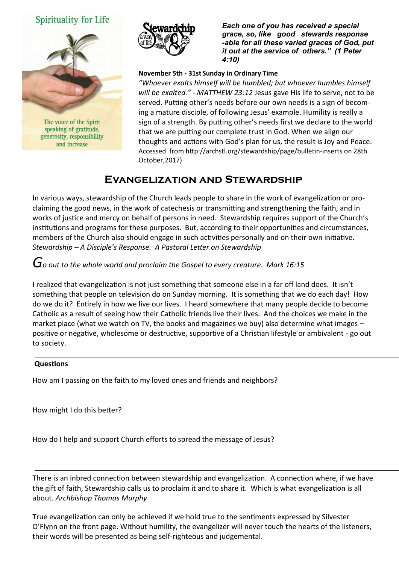### Spirituality for Life



The voice of the Spirit speaking of gratitude, generosity, responsibility and increase



*Each one of you has received a special grace, so, like good stewards response -able for all these varied graces of God, put it out at the service of others." (1 Peter 4:10)* 

#### **November 5th - 31st Sunday in Ordinary Time**

*"Whoever exalts himself will be humbled; but whoever humbles himself will be exalted." - MATTHEW 23:12* Jesus gave His life to serve, not to be served. Putting other's needs before our own needs is a sign of becoming a mature disciple, of following Jesus' example. Humility is really a sign of a strength. By putting other's needs first we declare to the world that we are putting our complete trust in God. When we align our thoughts and actions with God's plan for us, the result is Joy and Peace. Accessed from http://archstl.org/stewardship/page/bulletin-inserts on 28th October,2017)

### **Evangelization and Stewardship**

In various ways, stewardship of the Church leads people to share in the work of evangelization or proclaiming the good news, in the work of catechesis or transmitting and strengthening the faith, and in works of justice and mercy on behalf of persons in need. Stewardship requires support of the Church's institutions and programs for these purposes. But, according to their opportunities and circumstances, members of the Church also should engage in such activities personally and on their own initiative. *Stewardship – A Disciple's Response. A Pastoral Letter on Stewardship*

## *Go out to the whole world and proclaim the Gospel to every creature. Mark 16:15*

I realized that evangelization is not just something that someone else in a far off land does. It isn't something that people on television do on Sunday morning. It is something that we do each day! How do we do it? Entirely in how we live our lives. I heard somewhere that many people decide to become Catholic as a result of seeing how their Catholic friends live their lives. And the choices we make in the market place (what we watch on TV, the books and magazines we buy) also determine what images – positive or negative, wholesome or destructive, supportive of a Christian lifestyle or ambivalent - go out to society.

#### **Questions**

How am I passing on the faith to my loved ones and friends and neighbors?

How might I do this better?

How do I help and support Church efforts to spread the message of Jesus?

There is an inbred connection between stewardship and evangelization. A connection where, if we have the gift of faith, Stewardship calls us to proclaim it and to share it. Which is what evangelization is all about. *Archbishop Thomas Murphy*

True evangelization can only be achieved if we hold true to the sentiments expressed by Silvester O'Flynn on the front page. Without humility, the evangelizer will never touch the hearts of the listeners, their words will be presented as being self-righteous and judgemental.